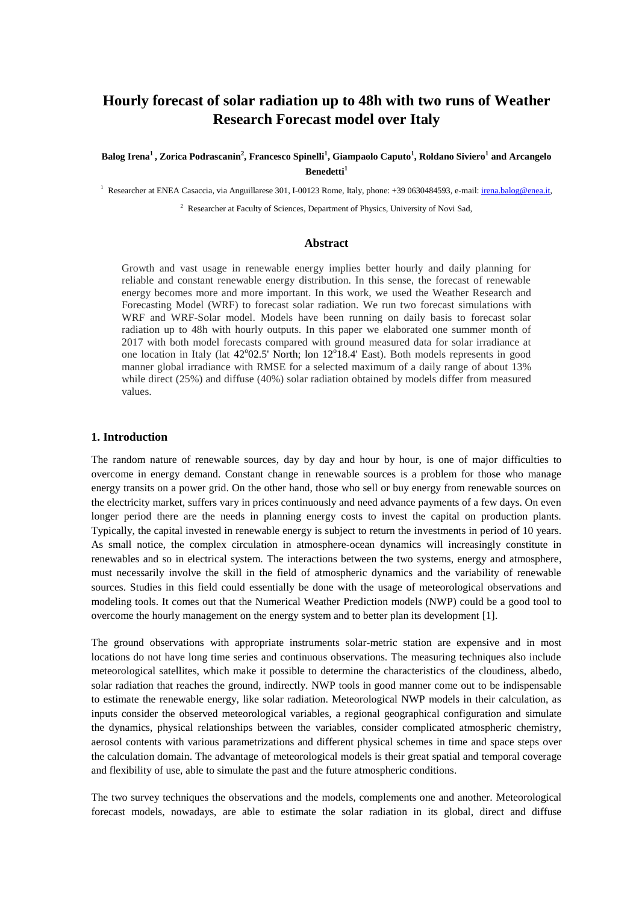# **Hourly forecast of solar radiation up to 48h with two runs of Weather Research Forecast model over Italy**

## **Balog Irena<sup>1</sup>, Zorica Podrascanin<sup>2</sup> , Francesco Spinelli<sup>1</sup> , Giampaolo Caputo<sup>1</sup> , Roldano Siviero<sup>1</sup> and Arcangelo Benedetti<sup>1</sup>**

<sup>1</sup> Researcher at ENEA Casaccia, via Anguillarese 301, I-00123 Rome, Italy, phone: +39 0630484593, e-mail[: irena.balog@enea.it,](mailto:irena.balog@enea.it)

<sup>2</sup> Researcher at Faculty of Sciences, Department of Physics, University of Novi Sad,

## **Abstract**

Growth and vast usage in renewable energy implies better hourly and daily planning for reliable and constant renewable energy distribution. In this sense, the forecast of renewable energy becomes more and more important. In this work, we used the Weather Research and Forecasting Model (WRF) to forecast solar radiation. We run two forecast simulations with WRF and WRF-Solar model. Models have been running on daily basis to forecast solar radiation up to 48h with hourly outputs. In this paper we elaborated one summer month of 2017 with both model forecasts compared with ground measured data for solar irradiance at one location in Italy (lat 42°02.5' North; lon 12°18.4' East). Both models represents in good manner global irradiance with RMSE for a selected maximum of a daily range of about 13% while direct (25%) and diffuse (40%) solar radiation obtained by models differ from measured values.

## **1. Introduction**

The random nature of renewable sources, day by day and hour by hour, is one of major difficulties to overcome in energy demand. Constant change in renewable sources is a problem for those who manage energy transits on a power grid. On the other hand, those who sell or buy energy from renewable sources on the electricity market, suffers vary in prices continuously and need advance payments of a few days. On even longer period there are the needs in planning energy costs to invest the capital on production plants. Typically, the capital invested in renewable energy is subject to return the investments in period of 10 years. As small notice, the complex circulation in atmosphere-ocean dynamics will increasingly constitute in renewables and so in electrical system. The interactions between the two systems, energy and atmosphere, must necessarily involve the skill in the field of atmospheric dynamics and the variability of renewable sources. Studies in this field could essentially be done with the usage of meteorological observations and modeling tools. It comes out that the Numerical Weather Prediction models (NWP) could be a good tool to overcome the hourly management on the energy system and to better plan its development [1].

The ground observations with appropriate instruments solar-metric station are expensive and in most locations do not have long time series and continuous observations. The measuring techniques also include meteorological satellites, which make it possible to determine the characteristics of the cloudiness, albedo, solar radiation that reaches the ground, indirectly. NWP tools in good manner come out to be indispensable to estimate the renewable energy, like solar radiation. Meteorological NWP models in their calculation, as inputs consider the observed meteorological variables, a regional geographical configuration and simulate the dynamics, physical relationships between the variables, consider complicated atmospheric chemistry, aerosol contents with various parametrizations and different physical schemes in time and space steps over the calculation domain. The advantage of meteorological models is their great spatial and temporal coverage and flexibility of use, able to simulate the past and the future atmospheric conditions.

The two survey techniques the observations and the models, complements one and another. Meteorological forecast models, nowadays, are able to estimate the solar radiation in its global, direct and diffuse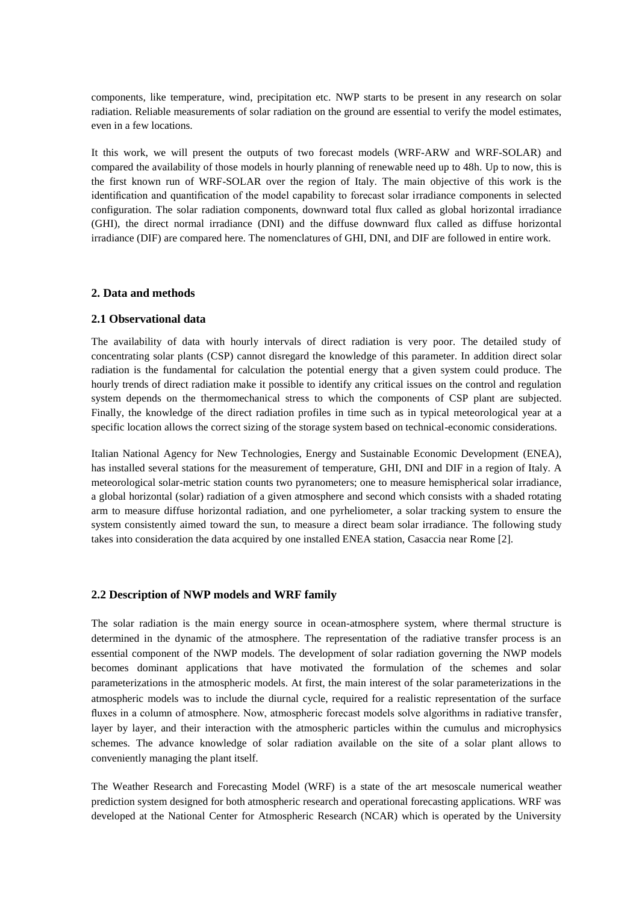components, like temperature, wind, precipitation etc. NWP starts to be present in any research on solar radiation. Reliable measurements of solar radiation on the ground are essential to verify the model estimates, even in a few locations.

It this work, we will present the outputs of two forecast models (WRF-ARW and WRF-SOLAR) and compared the availability of those models in hourly planning of renewable need up to 48h. Up to now, this is the first known run of WRF-SOLAR over the region of Italy. The main objective of this work is the identification and quantification of the model capability to forecast solar irradiance components in selected configuration. The solar radiation components, downward total flux called as global horizontal irradiance (GHI), the direct normal irradiance (DNI) and the diffuse downward flux called as diffuse horizontal irradiance (DIF) are compared here. The nomenclatures of GHI, DNI, and DIF are followed in entire work.

## **2. Data and methods**

## **2.1 Observational data**

The availability of data with hourly intervals of direct radiation is very poor. The detailed study of concentrating solar plants (CSP) cannot disregard the knowledge of this parameter. In addition direct solar radiation is the fundamental for calculation the potential energy that a given system could produce. The hourly trends of direct radiation make it possible to identify any critical issues on the control and regulation system depends on the thermomechanical stress to which the components of CSP plant are subjected. Finally, the knowledge of the direct radiation profiles in time such as in typical meteorological year at a specific location allows the correct sizing of the storage system based on technical-economic considerations.

Italian National Agency for New Technologies, Energy and Sustainable Economic Development (ENEA), has installed several stations for the measurement of temperature, GHI, DNI and DIF in a region of Italy. A meteorological solar-metric station counts two pyranometers; one to measure hemispherical solar irradiance, a global horizontal (solar) radiation of a given atmosphere and second which consists with a shaded rotating arm to measure diffuse horizontal radiation, and one pyrheliometer, a solar tracking system to ensure the system consistently aimed toward the sun, to measure a direct beam solar irradiance. The following study takes into consideration the data acquired by one installed ENEA station, Casaccia near Rome [2].

## **2.2 Description of NWP models and WRF family**

The solar radiation is the main energy source in ocean-atmosphere system, where thermal structure is determined in the dynamic of the atmosphere. The representation of the radiative transfer process is an essential component of the NWP models. The development of solar radiation governing the NWP models becomes dominant applications that have motivated the formulation of the schemes and solar parameterizations in the atmospheric models. At first, the main interest of the solar parameterizations in the atmospheric models was to include the diurnal cycle, required for a realistic representation of the surface fluxes in a column of atmosphere. Now, atmospheric forecast models solve algorithms in radiative transfer, layer by layer, and their interaction with the atmospheric particles within the cumulus and microphysics schemes. The advance knowledge of solar radiation available on the site of a solar plant allows to conveniently managing the plant itself.

The Weather Research and Forecasting Model (WRF) is a state of the art mesoscale numerical weather prediction system designed for both atmospheric research and operational forecasting applications. WRF was developed at the National Center for Atmospheric Research (NCAR) which is operated by the University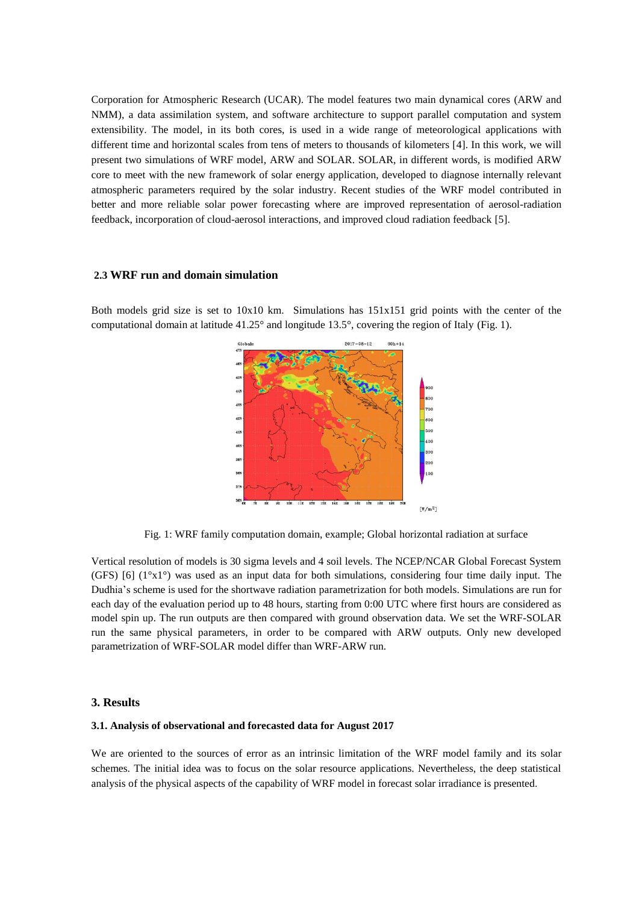Corporation for Atmospheric Research (UCAR). The model features two main dynamical cores (ARW and NMM), a data assimilation system, and software architecture to support parallel computation and system extensibility. The model, in its both cores, is used in a wide range of meteorological applications with different time and horizontal scales from tens of meters to thousands of kilometers [4]. In this work, we will present two simulations of WRF model, ARW and SOLAR. SOLAR, in different words, is modified ARW core to meet with the new framework of solar energy application, developed to diagnose internally relevant atmospheric parameters required by the solar industry. Recent studies of the WRF model contributed in better and more reliable solar power forecasting where are improved representation of aerosol-radiation feedback, incorporation of cloud-aerosol interactions, and improved cloud radiation feedback [5].

## **2.3 WRF run and domain simulation**

Both models grid size is set to 10x10 km. Simulations has 151x151 grid points with the center of the computational domain at latitude 41.25° and longitude 13.5°, covering the region of Italy (Fig. 1).



Fig. 1: WRF family computation domain, example; Global horizontal radiation at surface

Vertical resolution of models is 30 sigma levels and 4 soil levels. The NCEP/NCAR Global Forecast System (GFS) [6] (1°x1°) was used as an input data for both simulations, considering four time daily input. The Dudhia's scheme is used for the shortwave radiation parametrization for both models. Simulations are run for each day of the evaluation period up to 48 hours, starting from 0:00 UTC where first hours are considered as model spin up. The run outputs are then compared with ground observation data. We set the WRF-SOLAR run the same physical parameters, in order to be compared with ARW outputs. Only new developed parametrization of WRF-SOLAR model differ than WRF-ARW run.

#### **3. Results**

#### **3.1. Analysis of observational and forecasted data for August 2017**

We are oriented to the sources of error as an intrinsic limitation of the WRF model family and its solar schemes. The initial idea was to focus on the solar resource applications. Nevertheless, the deep statistical analysis of the physical aspects of the capability of WRF model in forecast solar irradiance is presented.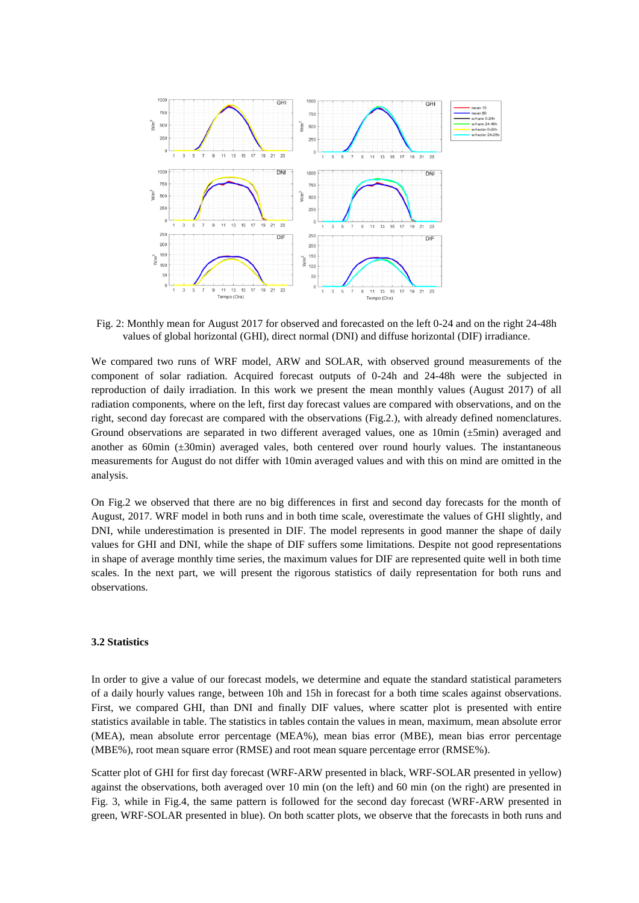

Fig. 2: Monthly mean for August 2017 for observed and forecasted on the left 0-24 and on the right 24-48h values of global horizontal (GHI), direct normal (DNI) and diffuse horizontal (DIF) irradiance.

We compared two runs of WRF model, ARW and SOLAR, with observed ground measurements of the component of solar radiation. Acquired forecast outputs of 0-24h and 24-48h were the subjected in reproduction of daily irradiation. In this work we present the mean monthly values (August 2017) of all radiation components, where on the left, first day forecast values are compared with observations, and on the right, second day forecast are compared with the observations (Fig.2.), with already defined nomenclatures. Ground observations are separated in two different averaged values, one as 10min (±5min) averaged and another as 60min  $(\pm 30$ min) averaged vales, both centered over round hourly values. The instantaneous measurements for August do not differ with 10min averaged values and with this on mind are omitted in the analysis.

On Fig.2 we observed that there are no big differences in first and second day forecasts for the month of August, 2017. WRF model in both runs and in both time scale, overestimate the values of GHI slightly, and DNI, while underestimation is presented in DIF. The model represents in good manner the shape of daily values for GHI and DNI, while the shape of DIF suffers some limitations. Despite not good representations in shape of average monthly time series, the maximum values for DIF are represented quite well in both time scales. In the next part, we will present the rigorous statistics of daily representation for both runs and observations.

## **3.2 Statistics**

In order to give a value of our forecast models, we determine and equate the standard statistical parameters of a daily hourly values range, between 10h and 15h in forecast for a both time scales against observations. First, we compared GHI, than DNI and finally DIF values, where scatter plot is presented with entire statistics available in table. The statistics in tables contain the values in mean, maximum, mean absolute error (MEA), mean absolute error percentage (MEA%), mean bias error (MBE), mean bias error percentage (MBE%), root mean square error (RMSE) and root mean square percentage error (RMSE%).

Scatter plot of GHI for first day forecast (WRF-ARW presented in black, WRF-SOLAR presented in yellow) against the observations, both averaged over 10 min (on the left) and 60 min (on the right) are presented in Fig. 3, while in Fig.4, the same pattern is followed for the second day forecast (WRF-ARW presented in green, WRF-SOLAR presented in blue). On both scatter plots, we observe that the forecasts in both runs and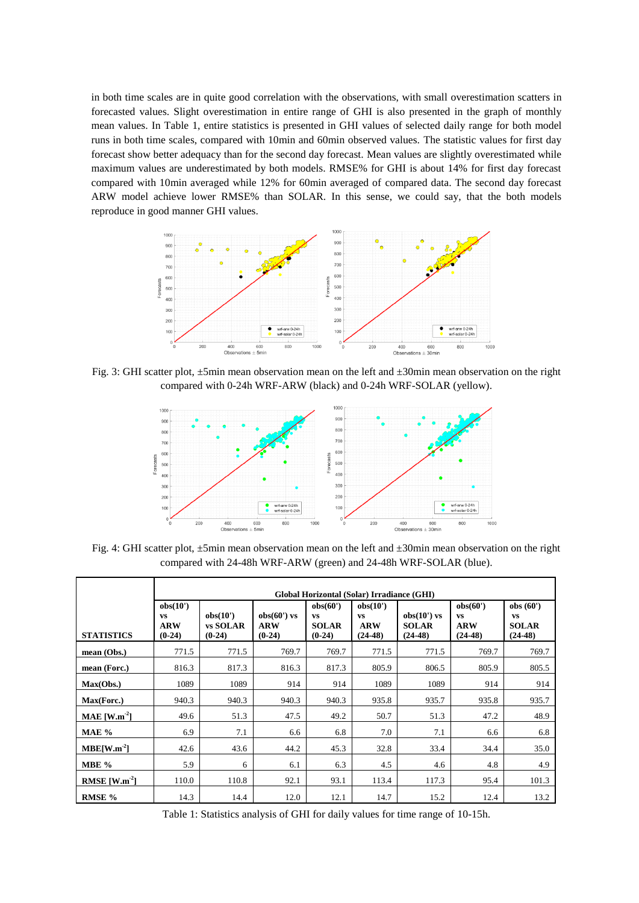in both time scales are in quite good correlation with the observations, with small overestimation scatters in forecasted values. Slight overestimation in entire range of GHI is also presented in the graph of monthly mean values. In Table 1, entire statistics is presented in GHI values of selected daily range for both model runs in both time scales, compared with 10min and 60min observed values. The statistic values for first day forecast show better adequacy than for the second day forecast. Mean values are slightly overestimated while maximum values are underestimated by both models. RMSE% for GHI is about 14% for first day forecast compared with 10min averaged while 12% for 60min averaged of compared data. The second day forecast ARW model achieve lower RMSE% than SOLAR. In this sense, we could say, that the both models reproduce in good manner GHI values.



Fig. 3: GHI scatter plot, ±5min mean observation mean on the left and ±30min mean observation on the right compared with 0-24h WRF-ARW (black) and 0-24h WRF-SOLAR (yellow).



Fig. 4: GHI scatter plot, ±5min mean observation mean on the left and ±30min mean observation on the right compared with 24-48h WRF-ARW (green) and 24-48h WRF-SOLAR (blue).

|                                  | Global Horizontal (Solar) Irradiance (GHI) |                                         |                                         |                                                   |                                                  |                                            |                                                  |                                                    |
|----------------------------------|--------------------------------------------|-----------------------------------------|-----------------------------------------|---------------------------------------------------|--------------------------------------------------|--------------------------------------------|--------------------------------------------------|----------------------------------------------------|
| <b>STATISTICS</b>                | obs(10')<br>VS<br><b>ARW</b><br>$(0-24)$   | obs(10')<br><b>vs SOLAR</b><br>$(0-24)$ | $obs(60')$ vs<br><b>ARW</b><br>$(0-24)$ | obs(60')<br><b>VS</b><br><b>SOLAR</b><br>$(0-24)$ | obs(10')<br><b>VS</b><br><b>ARW</b><br>$(24-48)$ | $obs(10')$ vs<br><b>SOLAR</b><br>$(24-48)$ | obs(60')<br><b>VS</b><br><b>ARW</b><br>$(24-48)$ | obs(60')<br><b>VS</b><br><b>SOLAR</b><br>$(24-48)$ |
| mean (Obs.)                      | 771.5                                      | 771.5                                   | 769.7                                   | 769.7                                             | 771.5                                            | 771.5                                      | 769.7                                            | 769.7                                              |
| mean (Forc.)                     | 816.3                                      | 817.3                                   | 816.3                                   | 817.3                                             | 805.9                                            | 806.5                                      | 805.9                                            | 805.5                                              |
| Max(Obs.)                        | 1089                                       | 1089                                    | 914                                     | 914                                               | 1089                                             | 1089                                       | 914                                              | 914                                                |
| Max(Forc.)                       | 940.3                                      | 940.3                                   | 940.3                                   | 940.3                                             | 935.8                                            | 935.7                                      | 935.8                                            | 935.7                                              |
| MAE $[$ W.m <sup>-2</sup> $]$    | 49.6                                       | 51.3                                    | 47.5                                    | 49.2                                              | 50.7                                             | 51.3                                       | 47.2                                             | 48.9                                               |
| MAE %                            | 6.9                                        | 7.1                                     | 6.6                                     | 6.8                                               | 7.0                                              | 7.1                                        | 6.6                                              | 6.8                                                |
| $MBE[W.m^{-2}]$                  | 42.6                                       | 43.6                                    | 44.2                                    | 45.3                                              | 32.8                                             | 33.4                                       | 34.4                                             | 35.0                                               |
| MBE %                            | 5.9                                        | 6                                       | 6.1                                     | 6.3                                               | 4.5                                              | 4.6                                        | 4.8                                              | 4.9                                                |
| <b>RMSE</b> [W.m <sup>-2</sup> ] | 110.0                                      | 110.8                                   | 92.1                                    | 93.1                                              | 113.4                                            | 117.3                                      | 95.4                                             | 101.3                                              |
| RMSE %                           | 14.3                                       | 14.4                                    | 12.0                                    | 12.1                                              | 14.7                                             | 15.2                                       | 12.4                                             | 13.2                                               |

Table 1: Statistics analysis of GHI for daily values for time range of 10-15h.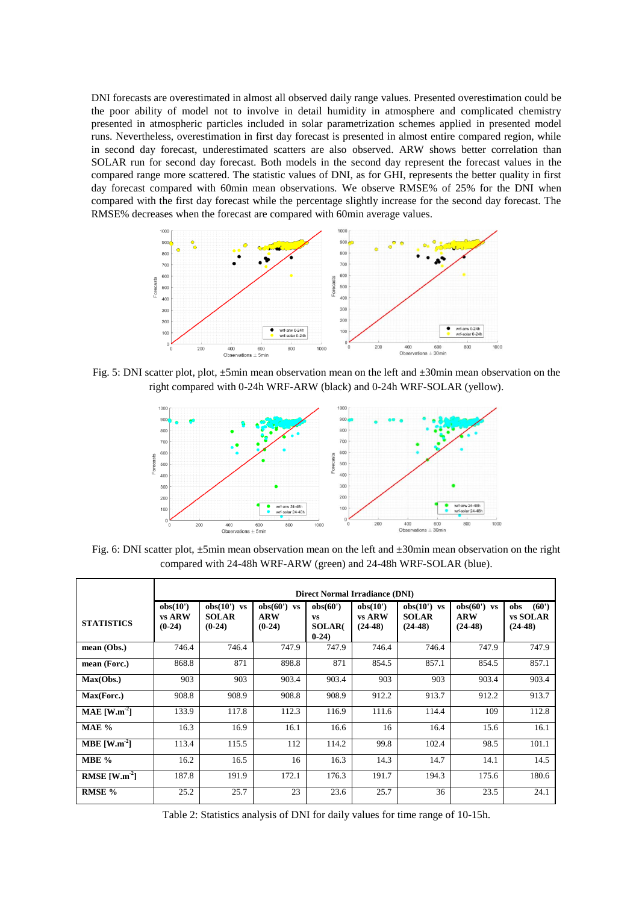DNI forecasts are overestimated in almost all observed daily range values. Presented overestimation could be the poor ability of model not to involve in detail humidity in atmosphere and complicated chemistry presented in atmospheric particles included in solar parametrization schemes applied in presented model runs. Nevertheless, overestimation in first day forecast is presented in almost entire compared region, while in second day forecast, underestimated scatters are also observed. ARW shows better correlation than SOLAR run for second day forecast. Both models in the second day represent the forecast values in the compared range more scattered. The statistic values of DNI, as for GHI, represents the better quality in first day forecast compared with 60min mean observations. We observe RMSE% of 25% for the DNI when compared with the first day forecast while the percentage slightly increase for the second day forecast. The RMSE% decreases when the forecast are compared with 60min average values.



Fig. 5: DNI scatter plot, plot, ±5min mean observation mean on the left and ±30min mean observation on the right compared with 0-24h WRF-ARW (black) and 0-24h WRF-SOLAR (yellow).



Fig. 6: DNI scatter plot, ±5min mean observation mean on the left and ±30min mean observation on the right compared with 24-48h WRF-ARW (green) and 24-48h WRF-SOLAR (blue).

|                   | <b>Direct Normal Irradiance (DNI)</b> |                                           |                                         |                                                   |                                        |                                            |                                          |                                              |
|-------------------|---------------------------------------|-------------------------------------------|-----------------------------------------|---------------------------------------------------|----------------------------------------|--------------------------------------------|------------------------------------------|----------------------------------------------|
| <b>STATISTICS</b> | obs(10')<br>vs ARW<br>$(0-24)$        | $obs(10')$ vs<br><b>SOLAR</b><br>$(0-24)$ | $obs(60')$ vs<br><b>ARW</b><br>$(0-24)$ | obs(60')<br><b>VS</b><br><b>SOLAR</b> (<br>$0-24$ | obs(10')<br><b>vs ARW</b><br>$(24-48)$ | $obs(10')$ vs<br><b>SOLAR</b><br>$(24-48)$ | $obs(60')$ vs<br><b>ARW</b><br>$(24-48)$ | (60')<br>obs<br><b>vs SOLAR</b><br>$(24-48)$ |
| mean (Obs.)       | 746.4                                 | 746.4                                     | 747.9                                   | 747.9                                             | 746.4                                  | 746.4                                      | 747.9                                    | 747.9                                        |
| mean (Forc.)      | 868.8                                 | 871                                       | 898.8                                   | 871                                               | 854.5                                  | 857.1                                      | 854.5                                    | 857.1                                        |
| Max(Obs.)         | 903                                   | 903                                       | 903.4                                   | 903.4                                             | 903                                    | 903                                        | 903.4                                    | 903.4                                        |
| Max(Forc.)        | 908.8                                 | 908.9                                     | 908.8                                   | 908.9                                             | 912.2                                  | 913.7                                      | 912.2                                    | 913.7                                        |
| MAE $[W.m^2]$     | 133.9                                 | 117.8                                     | 112.3                                   | 116.9                                             | 111.6                                  | 114.4                                      | 109                                      | 112.8                                        |
| MAE%              | 16.3                                  | 16.9                                      | 16.1                                    | 16.6                                              | 16                                     | 16.4                                       | 15.6                                     | 16.1                                         |
| MBE $[W.m^2]$     | 113.4                                 | 115.5                                     | 112                                     | 114.2                                             | 99.8                                   | 102.4                                      | 98.5                                     | 101.1                                        |
| MBE %             | 16.2                                  | 16.5                                      | 16                                      | 16.3                                              | 14.3                                   | 14.7                                       | 14.1                                     | 14.5                                         |
| RMSE $[W.m-2]$    | 187.8                                 | 191.9                                     | 172.1                                   | 176.3                                             | 191.7                                  | 194.3                                      | 175.6                                    | 180.6                                        |
| RMSE %            | 25.2                                  | 25.7                                      | 23                                      | 23.6                                              | 25.7                                   | 36                                         | 23.5                                     | 24.1                                         |

Table 2: Statistics analysis of DNI for daily values for time range of 10-15h.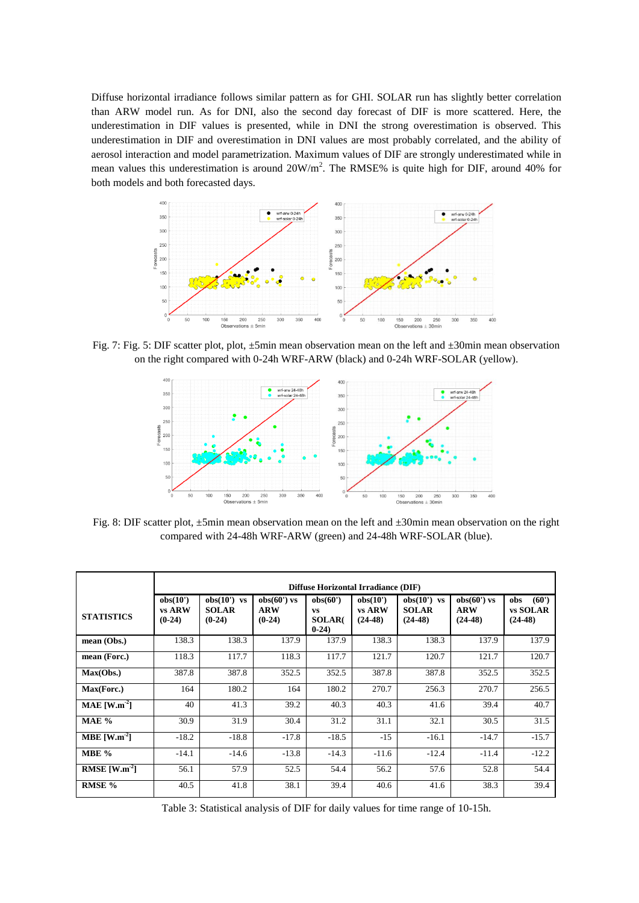Diffuse horizontal irradiance follows similar pattern as for GHI. SOLAR run has slightly better correlation than ARW model run. As for DNI, also the second day forecast of DIF is more scattered. Here, the underestimation in DIF values is presented, while in DNI the strong overestimation is observed. This underestimation in DIF and overestimation in DNI values are most probably correlated, and the ability of aerosol interaction and model parametrization. Maximum values of DIF are strongly underestimated while in mean values this underestimation is around  $20W/m^2$ . The RMSE% is quite high for DIF, around 40% for both models and both forecasted days.



Fig. 7: Fig. 5: DIF scatter plot, plot, ±5min mean observation mean on the left and ±30min mean observation on the right compared with 0-24h WRF-ARW (black) and 0-24h WRF-SOLAR (yellow).



Fig. 8: DIF scatter plot, ±5min mean observation mean on the left and ±30min mean observation on the right compared with 24-48h WRF-ARW (green) and 24-48h WRF-SOLAR (blue).

|                   | Diffuse Horizontal Irradiance (DIF) |                                           |                                         |                                                   |                                        |                                            |                                          |                                              |
|-------------------|-------------------------------------|-------------------------------------------|-----------------------------------------|---------------------------------------------------|----------------------------------------|--------------------------------------------|------------------------------------------|----------------------------------------------|
| <b>STATISTICS</b> | obs(10')<br>vs ARW<br>$(0-24)$      | $obs(10')$ vs<br><b>SOLAR</b><br>$(0-24)$ | $obs(60')$ vs<br><b>ARW</b><br>$(0-24)$ | obs(60')<br><b>VS</b><br><b>SOLAR</b> (<br>$0-24$ | obs(10')<br><b>vs ARW</b><br>$(24-48)$ | $obs(10')$ vs<br><b>SOLAR</b><br>$(24-48)$ | $obs(60')$ vs<br><b>ARW</b><br>$(24-48)$ | (60')<br>obs<br><b>vs SOLAR</b><br>$(24-48)$ |
| mean (Obs.)       | 138.3                               | 138.3                                     | 137.9                                   | 137.9                                             | 138.3                                  | 138.3                                      | 137.9                                    | 137.9                                        |
| mean (Forc.)      | 118.3                               | 117.7                                     | 118.3                                   | 117.7                                             | 121.7                                  | 120.7                                      | 121.7                                    | 120.7                                        |
| Max(Obs.)         | 387.8                               | 387.8                                     | 352.5                                   | 352.5                                             | 387.8                                  | 387.8                                      | 352.5                                    | 352.5                                        |
| Max(Forc.)        | 164                                 | 180.2                                     | 164                                     | 180.2                                             | 270.7                                  | 256.3                                      | 270.7                                    | 256.5                                        |
| MAE $[W.m^{-2}]$  | 40                                  | 41.3                                      | 39.2                                    | 40.3                                              | 40.3                                   | 41.6                                       | 39.4                                     | 40.7                                         |
| MAE %             | 30.9                                | 31.9                                      | 30.4                                    | 31.2                                              | 31.1                                   | 32.1                                       | 30.5                                     | 31.5                                         |
| MBE $[W.m^{-2}]$  | $-18.2$                             | $-18.8$                                   | $-17.8$                                 | $-18.5$                                           | $-15$                                  | $-16.1$                                    | $-14.7$                                  | $-15.7$                                      |
| MBE %             | $-14.1$                             | $-14.6$                                   | $-13.8$                                 | $-14.3$                                           | $-11.6$                                | $-12.4$                                    | $-11.4$                                  | $-12.2$                                      |
| RMSE $[W.m^{-2}]$ | 56.1                                | 57.9                                      | 52.5                                    | 54.4                                              | 56.2                                   | 57.6                                       | 52.8                                     | 54.4                                         |
| RMSE %            | 40.5                                | 41.8                                      | 38.1                                    | 39.4                                              | 40.6                                   | 41.6                                       | 38.3                                     | 39.4                                         |

Table 3: Statistical analysis of DIF for daily values for time range of 10-15h.